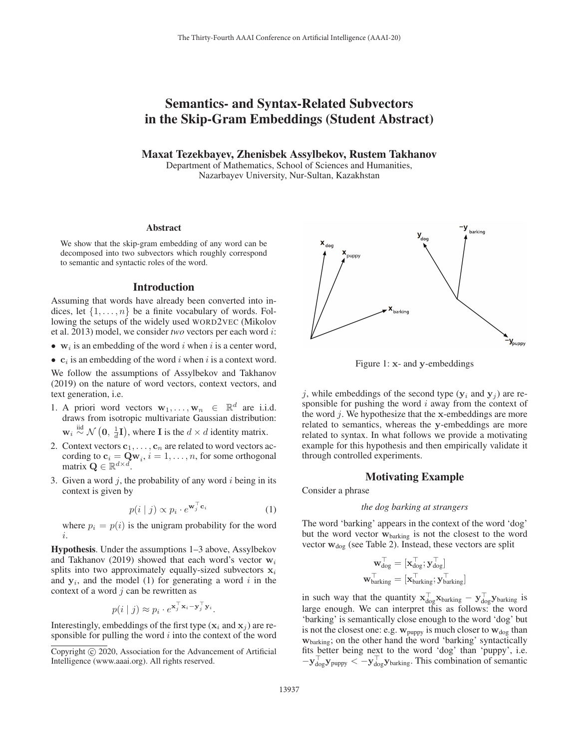# Semantics- and Syntax-Related Subvectors in the Skip-Gram Embeddings (Student Abstract)

Maxat Tezekbayev, Zhenisbek Assylbekov, Rustem Takhanov

Department of Mathematics, School of Sciences and Humanities, Nazarbayev University, Nur-Sultan, Kazakhstan

#### Abstract

We show that the skip-gram embedding of any word can be decomposed into two subvectors which roughly correspond to semantic and syntactic roles of the word.

## Introduction

Assuming that words have already been converted into indices, let  $\{1,\ldots,n\}$  be a finite vocabulary of words. Following the setups of the widely used WORD2VEC (Mikolov et al. 2013) model, we consider *two* vectors per each word i:

- $w_i$  is an embedding of the word i when i is a center word,
- $c_i$  is an embedding of the word i when i is a context word.

We follow the assumptions of Assylbekov and Takhanov (2019) on the nature of word vectors, context vectors, and text generation, i.e.

1. A priori word vectors  $\mathbf{w}_1, \dots, \mathbf{w}_n \in \mathbb{R}^d$  are i.i.d. draws from isotropic multivariate Gaussian distribution:

 $\mathbf{w}_i \stackrel{\text{iid}}{\sim} \mathcal{N}(\mathbf{0}, \frac{1}{d}\mathbf{I})$ , where **I** is the  $d \times d$  identity matrix.

- 2. Context vectors  $c_1, \ldots, c_n$  are related to word vectors according to  $\mathbf{c}_i = \mathbf{Q} \mathbf{w}_i$ ,  $i = 1, \ldots, n$ , for some orthogonal matrix  $\mathbf{Q} \in \mathbb{R}^{d \times d}$ .
- 3. Given a word  $j$ , the probability of any word  $i$  being in its context is given by

$$
p(i | j) \propto p_i \cdot e^{\mathbf{w}_j^{\top} \mathbf{c}_i} \tag{1}
$$

where  $p_i = p(i)$  is the unigram probability for the word i.

Hypothesis. Under the assumptions 1–3 above, Assylbekov and Takhanov (2019) showed that each word's vector  $w_i$ splits into two approximately equally-sized subvectors  $x_i$ and  $y_i$ , and the model (1) for generating a word i in the context of a word  $j$  can be rewritten as

$$
p(i | j) \approx p_i \cdot e^{\mathbf{x}_j^{\top} \mathbf{x}_i - \mathbf{y}_j^{\top} \mathbf{y}_i}.
$$

Interestingly, embeddings of the first type  $(\mathbf{x}_i \text{ and } \mathbf{x}_j)$  are responsible for pulling the word  $i$  into the context of the word



Figure 1: **x**- and **y**-embeddings

j, while embeddings of the second type  $(y_i$  and  $y_j$ ) are responsible for pushing the word  $i$  away from the context of the word j. We hypothesize that the **x**-embeddings are more related to semantics, whereas the **y**-embeddings are more related to syntax. In what follows we provide a motivating example for this hypothesis and then empirically validate it through controlled experiments.

#### Motivating Example

Consider a phrase

#### *the dog barking at strangers*

The word 'barking' appears in the context of the word 'dog' but the word vector **w**barking is not the closest to the word vector **w**<sub>dog</sub> (see Table 2). Instead, these vectors are split

$$
\mathbf{w}_{\text{dog}}^{\top} = [\mathbf{x}_{\text{dog}}^{\top}; \mathbf{y}_{\text{dog}}^{\top}]
$$

$$
\mathbf{w}_{\text{barking}}^{\top} = [\mathbf{x}_{\text{barking}}^{\top}; \mathbf{y}_{\text{barking}}^{\top}]
$$

in such way that the quantity  $\mathbf{x}_{\text{dog}}^{\perp} \mathbf{x}_{\text{barking}} - \mathbf{y}_{\text{dog}}^{\perp} \mathbf{y}_{\text{barking}}$  is large enough. We can interpret this as follows: the word 'barking' is semantically close enough to the word 'dog' but is not the closest one: e.g.  $w_{\text{puppy}}$  is much closer to  $w_{\text{dog}}$  than **w**barking; on the other hand the word 'barking' syntactically fits better being next to the word 'dog' than 'puppy', i.e. −**y**- dog**y**puppy <sup>&</sup>lt; <sup>−</sup>**y**- dog**y**barking. This combination of semantic

Copyright  $\odot$  2020, Association for the Advancement of Artificial Intelligence (www.aaai.org). All rights reserved.